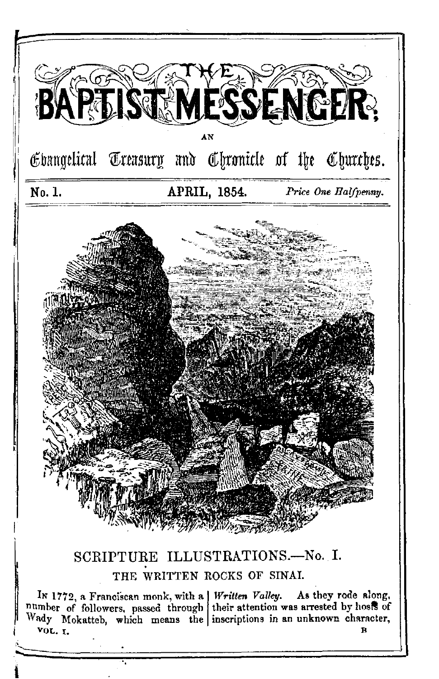

# SCRIPTURE ILLUSTRATIONS.-- No. I. THE WRITTEN ROCKS OF SINAL

In 1772, a Franciscan monk, with a *Written Valley*. As they rode along, number of followers, passed through their attention was arrested by hosts of Wady Mokatteb, which means the inscriptions in an unknown character, VOL. I. Đ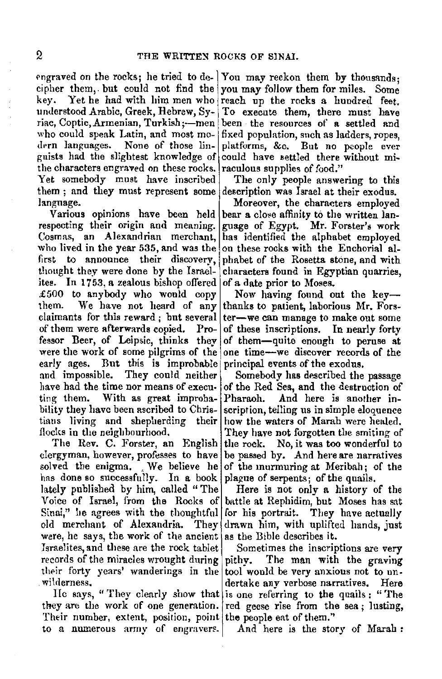engraved on the rocks; he tried to de- You may reckon them by thousands: cipher them, but could not find the you may follow them for miles. Some key. Yet he had with him men who reach up the rocks a hundred feet.<br>understood Arabic Greek Hebrew Sy- To execute them, there must have riac, Coptic, Armenian, Turkish ;- men been the resources of a settled and who could speak Latin, and most mo- fixed population, such as ladders, ropes, dern languages. None of those lin- platforms. &c. But no people ever gnists had the slightest knowledge of could have settled there without mithe characters engraved on these rocks. raculous supplies of food."<br>Yet somebody must have inscribed The only people answe them : and they must represent some description was Israel at their exodus.

respecting their origin and meaning. guage of Egypt. Mr. Forster's work Cosmas, an Alexandrian merchant, has identified the alphabet employed who lived in the year 535, and was the on these rocks with the Enchorial alfirst to announce their discovery, phabet of the Rosetta stone, and with thought they were done by the Israel- characters found in Egyptian quarries. ites. In 1753, a zealous bishop offered of a date prior to Moses. £500 to anybody who would copy Now having found out the key-<br>them. We have not heard of any thanks to patient laborious Mr Forsclaimants for this reward; but several ter-we can manage to make out some of them were afterwards copied. Pro- of these inscriptions. In nearly forty fessor Beer, of Leipsic, thinks they of them-quite enough to peruse at were the work of some pilgrims of the one time--we discover records of the early ages. But this is improbable principal events of the exodus. early ages. But this is improbable and impossible. They could neither and impossible. They could neither Somebody has described the passage have had the time nor means of execu- of the Red Sea, and the destruction of have had the time nor means of execu• of the Red Sea, and the destruction of ting them. With as great improba- Pharaoh. And here is another inting them. With as great improba- Pharaoh. And here is another in-<br>bility they have been ascribed to Chris- scription, telling us in simple eloquence bility they have been ascribed to Chris- scription, telling us in simple eloquence tians living and shepherding their how the waters of Marah were healed. flocks in the neighbourhood. They have not forgotten the smiting of

dergyman, however, professes to have be passed by. And here are narratives solved the enigma. We believe he of the murmuring at Meribah; of the has done so successfully. In a book plague of serpents; of the quails. lately published by him, called "The Here is not only a history of the Voice of Israel, from the Rocks of battle at Rephidim, but Moses has sat Sinai," he agrees with the thoughtful old merchant of Alexandria. They drawn him, with uplifted hands, just were, he says, the work of the ancient as the Bible describes it. Israelites, and these are the rock tablet Sometimes the inscriptions are very records of the miracles wrought during pithy. The man with the graving their forty years' wanderings in the tool would be very anxious not to un-<br>wilderness. Here

they are the work of one generation. red geese rise from the sea; lusting, Their number, extent, position, point the people eat of them." to a numerous army of engravers. And here is the story of Marah :

To execute them, there must have platforms, &c. But no people ever

The only people answering to this

language.<br>Various opinions have been held bear a close affinity to the written lanbear a close affinity to the written lancharacters found in Egyptian quarries.

> We have not heard of any thanks to patient, laborious Mr. Forsof these inscriptions. In nearly forty

how the waters of Marah were healed. The Rev. C. Forster, an English the rock. No, it was too wonderful to

battle at Rephidim, but Moses has sat<br>for his portrait. They have actually

dertake anv verbose narratives. Here lie says, " They clearly show that is one refirring to the quails: "The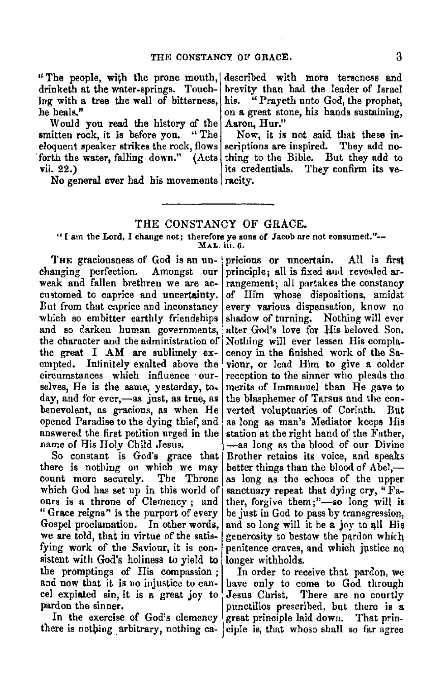Aaron, Hur."

"The people, with the prone mouth, described with more terseness and drinketh at the water-springs. Touching with a tree the well of bitterness, he heals."

Would you read the history of the smitten rock, it is before you. eloquent speaker strikes the rock, flows scriptions are inspired. They add noforth the water, falling down." vii. 22.)  $(\text{Acts} | \text{thing to the Bible.}$  But they add to

No general ever had his movements racity.

### THE CONSTANCY OF GRACE.

"I am the Lord, I change not; therefore ye sons or Jacob are not consumed."-- MAL. iii. 6.

weak and fallen brethren we are ac- rangement; all partakes the constancy cnstomed to caprice and uncertainty. of Him whose dispositions, amidst But from that caprice and inconstancy every various dispensation, know no<br>which so embitter earthly friendships shadow of turning. Nothing will ever which so embitter earthly friendships and so darken human governments, alter God's love for His beloved Son, the character and the administration of Nothing will ever lessen His complathe great I AM are sublimely ex- cenoy in the finished work of the Saempted. Infinitely exalted above the viour, or lead Him to give a colder circumstances which influence our- reception to the sinner who pleads the selves, He is the same, yesterday, to- merits of Immanuel than  $He$  gave to day, and for ever,—as just, as true, as the blasphemer of Tarsus and the conbenevolent, as gracious, as when He verted voluptuaries of Corinth. But opened Paradise to the dying thief, and as long as man's Mediator keeps His answered the first petition urged in the station at the right hand of the Father,

there is nothing on which we may better things than the blood of Abel,—count more securely. The Throne as long as the echoes of the upper which God has set up in this world of sanctuary repeat that dying cry, "Fa-<br>ours is a throne of Clemency: and ther, forgive them:"---so long will it "Grace reigns" is the purport of every  $\vert$  be just in God to pass by transgression, Gospel proclamation. In other words, and so long will it be a joy to all His we are told, that in virtue of the satis- generosity to bestow the pardon which fying work of the Saviour, it is con- penitence craves, and which justice no sistent with God's holiness to yield to longer withholds. the promptings of His compassion; In order to receive that pardon, we and now that it is no injustice to can- have only to come to God through eel expiated sin, it is a great joy to Jesus Clirist, There are no courtly

there is nothing arbitrary, nothing  $ca-$  ciple is, that whoso shall so far agree

THE graciousness of God is an un- pricious or uncertain. All is first changing perfection. Amongst our principle; all is fixed and revealed ar-Amongst our principle; all is fixed and revealed arname of His Holy Child Jesus.  $\begin{vmatrix} -a_8 \ -a_9 \end{vmatrix}$  as the blood of our Divine So constant is God's grace that Brother retains its voice, and speaks Brother retains its voice, and speaks as long as the echoes of the upper ther, forgive them;"-so long will it

brevity than had the leader of Israel his. "Prayeth unto God, the prophet, on a great stone, his hands sustaining,

Now, it is not said that these in-

its credentials. They confirm its ve-

pardon the sinner. punctilios prescribed, but there is a In the exercise of God's clemency great principle laid down. That prin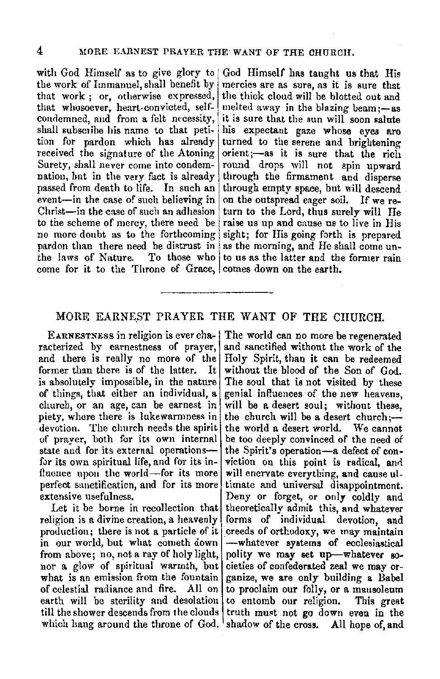that work; or, otherwise expressed, that whosoever, heart-convicted, self- melted away in the blazing beam;-as condemned, aud from a felt necessity, it is sure that the snn will soon salute shall subscribe his name to that peti- his expectant gaze whose eyes are tion for pardon which has already turned to the serene and brightening received the signature of the Atoning orient;—as it is sure that the rich<br>Surety, shall never come into condem- round drops will not spin upward nation, but in the very fact is already through the firmament and disperse passed from death to life. In such an through empty space, but will descend event-in the case of such believing in on the outspread eager soil. If we re-<br>Christ-in the case of such an adhesion turn to the Lord, thus surely will He to the scheme of mercy, there need be raise us up and cause us to live in His no more doubt as to the forthcoming sight; for His going forth is prepared pardon than there need be distrust in as the morning, and He shall come un-<br>the laws of Nature. To those who to us as the latter and the former rain come for it to the Throne of Grace, comes down on the earth.

with God Himself as to give glory to God Himself has taught us that His the work of Immanuel shall benefit by mercies are as sure as it is sure that mercies are as sure, as it is sure that<br>the thick cloud will be blotted out and turned to the serene and brightening round drops will not spin upward turn to the Lord, thus surely will He To those who to us as the latter and the former rain

### MORE EARNEST PRAYER THE WANT OF THE CHURCH.

EARNESTNESS in religion is ever characterized hy earnestness of prayer, and there is really no more of the former than there is of the latter. It is absolutely impossible, in the nature of things, that either an individual, a church, or an age, can be earnest in piety, whore there is lukewarmness in devotion. The church needs the spirit of prayer, both for its own internal state and for its external operationsfor its own spiritual life, and for its influence upon the world-for its more perfect sm1ctification, and **for** its more extensive usefulness.

Let it be borne in recollection that religion is a divine creation, a heavenly production; there is not a particle of it in our world, but what cometh down from above; no, not a ray of holy light, nor a glow of spiritual warmth, but what is an emission from the fountain of celestial radiance and fire. All on earth will be sterility and desolation till the shower descends from the clouds which hang around the throne of God. shadow of the cross. All hope of, and

The world can no more be regenerated and sanctified without the work of the Holy Spirit, than it can be redeemed without the blood of the Son of God. The soul that is not visited by these genial influences of the new heavens, will be a desert soul; without these, the church will be a desert church;the world a desert world. We cannot be too deeply convinced of the need of the Spirit's operation-a defect of conviction on this point is radical, and will enervate everything, and cause ultimate and universal disappointment. Deny or forget, or only coldly and theoretically admit this, and whatever forms of individual devotion, and \_creeds of orthodoxy, we may maintain -whatever systems of ecclesiastical polity we may set up-whatever societies of confederated zeal we may organize, we are only building a Babel to proclaim our folly, or a mausoleum to entomb our religion, This great truth must not go down even in the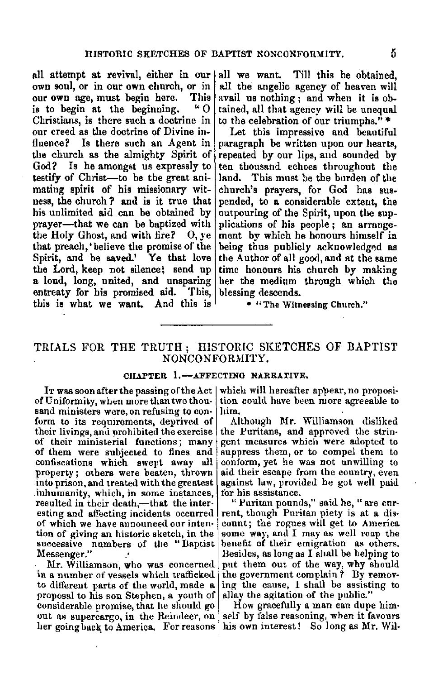all attempt at revival, either in our own soul, or in our own church, or in our own age, must begin here. This<br>is to begin at the beginning. "O is to begin at the beginning. Christians, is there such a doctrine in our creed as the doctrine of Divine influence? Is there such an Agent in tlie church as the almighty Spirit of God? Is he amongst us expressly to testify of Christ-to be the great animating spirit of his missionary witness, the church? and is it true that his unlimited aid can be obtained by prayer-that we can be baptized with the Holy Ghost, and with fire? 0, ye that preach, 'believe the promise of the Spirit, and be saved.' Ye that love the Lord, keep not silence; send up a loud, long, united, and unsparing entreaty for his promised aid. This, this is what we want. And this is

all we want. Till this be obtained, all the angelic agency of heaven will avail us nothing ; and when it is obtained, all that agency **will** be unequal to the celebration of our triumphs."\*

Let this impressive and beautiful paragraph be written upon our hearts, repeated by our lips, aud sounded by ten thousand echoes throughout the land. This must be the burden of the church's prayers, for God has suspended, to a considerable extent, the outpouring of the Spirit, upon the supplications of his people ; an arrange. ment by which he honours himself in being thus publicly acknowledged as the Author of all good, and at the same time honours his church by making her the medium through which the blessing descends.

• "The Witnessing Church."

# TRIALS FOR THE TRUTH ; HISTORIC SKETCHES OF BAPTIST NONCONFORMITY.

#### CHAPTER 1.-AFFECTING NARRATIVE.

of Uniformity, when more than two thou• sand ministers were, on refusing to con• form to its requirements, deprived of their livings, and prohibited the exercise of their ministerial functions; many of them were subjected to fines and confiscations which swept away all property; others were beaten, thrown into prison, and treated with the greatest inhumanity, which, in some instances, resulted in their death,-that the interesting and affecting incidents occurred of which we have announced our inten• tion of giving an historic sketch, in the successive numbers of the "Baptist<br>Messenger."

Mr. Williamson, who was concerned in a number of vessels which trafficked to different parts of the world, made a proposal to his son Stephen, a youth of considerable promise, that he should go out as supercargo, in the Reindeer, on her going back to America. For reasons

It was soon after the passing of the Act | which will hereafter appear, no proposition could have been more agreeable to him.

Although **Mr.** Williamson disliked the Puritans, and approved the stringent measures which were adopted to suppress them, or to compel them to conform, yet he was not unwilling to aid their escape from the country, even against law, provided he got well paid for his assistance.

" Puritan pounds," said he, " are cur-<br>rent, though Puritan piety is at a dis-<br>count; the rogues will get to America some way, and I may as well reap the benefit of their emigration as others. Besides, as long as I shall be helping to put them out of the way, why should the government complain? Dy remov- ing the cause, I shall be assisting to allay the agitation of the public."

How gracefully a man can dupe him• self by false reasoning, when it favours his own interest! So long as Mr. Wil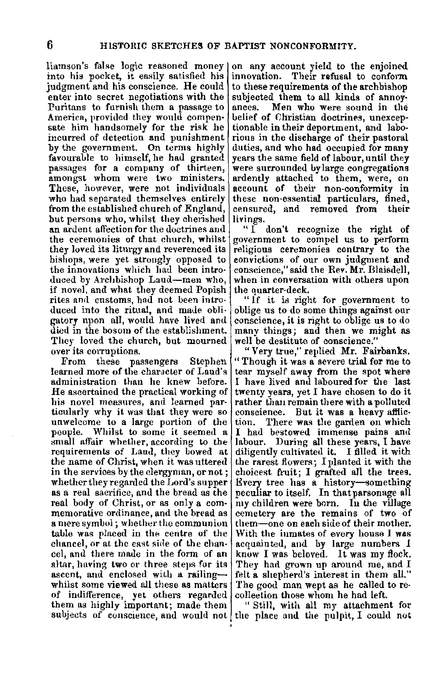liamson"s false logic reasoned money into his pocket, it easily satisfied his judgment and his conscience. He could enter into secret negotiations with the Puritans to furnish them a passage to America, provided they would compensate him handsomely for the risk he incurred of detection and punishment by the government. On terms highly favourable to himself, he had granted passages for a company of thirteen, amongst whom were two ministers. These, however, were not individuals who had separated themselves entirely from the established church of England, but persons who, whilst they cherished an ardent affection for the doctrines and the ceremonies of that church, whilst they loved its liturgy and reverenced its bishops, were yet strongly opposed to the innovations which had been introduced by Archbishop Laud-men who, if novel, and what they deemed Popish rites and customs, had not been introduced into the ritual, and made obligatory upon all, would have lived and died in the bosom of the establishment. They loved the church, but mourned over its corruptions.

From these passengers Stephen learned more of the character of Land's administration than he knew before. He ascertained the practical working of his novel measures, and learned particularly why it was that they were so unwelcome to a large portion of the people. Whilst to some it seemed a small affair whether, according to the requirements of Land, they bowed at the name of Christ, when it was uttered in the services by the clergyman, or not; whether they regarded the Lord's supper as a real sacrifice, and the bread as the real body of Christ, or as only a com-<br>memorative ordinance, and the bread as a mere symbol; whether the communion table was placed in the centre of the chancel, or at the east side of the chancel, and there made in the form of an altar, having two or three steps for its ascent, and enclosed with a railingwhilst some viewed all these as matters of indifference, yet others regarded them as highly important; made them subjects of conscience, and would not the place and the pulpit, I could not

on any account yield to the enjoined innovation. Their refusal to conform to these requirements of the archbishop subjected them to all kinds of annoy• ances. Men who were sound in the belief of Christian doctrines, unexceptionable in their deportment, and laborious in the discharge of their pastoral duties, and who had oecupied for many years the same field of labour, until they were surrounded by large congregations ardently attached to them, were, on account of their non-conformity in these non-essential particulars, fined, censured, and removed from their livings.

"I don't recognize the right of government to compel us to perform religious ceremonies contrary to the convictions of our own judgment and conscience," said the Rev. **Mr.** Blaisdell, when in conversation with others upon the quarter-deck.

"If it is right for government to oblige us to do some things against our conscience, it is right to oblige us to do many things; and then we might as well be destitute of conscience."

"Very true," replied Mr. Fairbanks. " Though it was a severe trial for me to tear myself away from the spot where I have lived and laboured for the last twenty years, yet I have chosen to do it rather than remain there with a polluted conscience. But it **was a** heavy afflic-There was the garden on which I had bestowed immense pains and labour. During all these years, I have diligently cultivated it. I filled it with the rarest flowers; I planted it with the choicest fruit; I grafted all the trees. Every tree has a history-something<br>peculiar to itself. In that parsonage all my children were born. Iu the village cemetery are the remains of two of them-one on each side of their mother. With the inmates of every house I was acquainted, and by large numbers I know I was beloved. It was my flock. They had grown up around me, and I felt a shepherd's interest in them all." The good man wept as he called to recollection those whom he had left.

" Still, with all my attachment for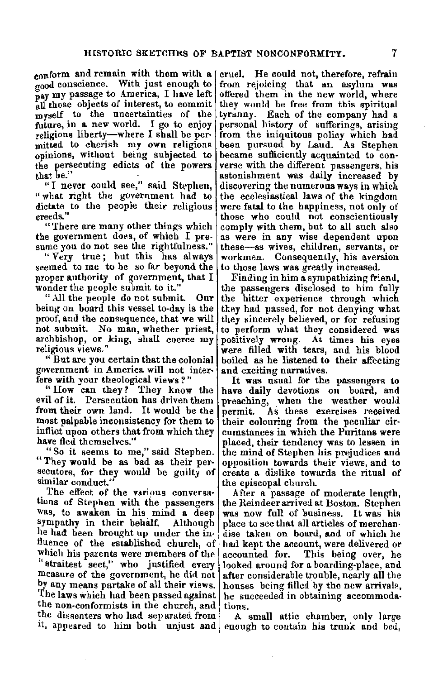$\alpha$ <sub>00</sub> conscience. With just enough to pay my passage to America, I have left all those objects of interest, to commit myself to the uncertainties of the future, in a new world. I go to enjoy religious liberty-where I shall be per• mitted to cherish my own religious opinions, without being subjected to the persecuting edicts of the powers that be." conform and remain with them with a [cruel. He could not, therefore, refrain

"I never could see," said Stephen, "what right the government had to dictate to the people their religious **creeds ...** 

"There are many other things which the government does, of which I pre• sume you do not see the rightfulness."

"Very true; but this has always seemed to me to be so far beyond the proper authority of government, that I wonder the people submit to it."

"All the people do not submit. Our being on board this vessel to-day is the proof, and the consequence, that we will not submit. No man, whether priest, archbishop, or king, shall coerce my religious views."

" But are you eertain that the colonial government in Americo. will not inter• fere with your theological views?"

" How can they? They know the evil of it. Persecution has driven them from their own land. It would be the most palpable inconsistency for them to inflict upon others that from which they have fled themselves."

"So it seems to me," said Stephen. " They wonld be as bad as their persecutors, for they would be guilty of similar conduct."

The effect of the various conversa• tions of Stephen with the passengers was, to awaken in his mind a deep? sympathy in their behalf. Although he had been brought up under the in• fluence of the established church, of which his parents were members of the "straitest sect," who justified every measure of the government, he did not by any means partake of all their views. The laws which had been passed against the non-conformists in the church, and the dissenters who had separated from

from rejoicing that an asylum was offered them in the new world, where they would be free from this spiritual tyranny. Each of the company had a personal history of sufferings, arising from the iniquitous policy which had been pursued by Laud. As Stephen became sufficiently acquainted to converse with the different passengers, his astonishment was daily increased by discovering the numerous **ways** in which the ecclesiastical laws of the kingdom were fatal to the happiness, not only of those who could not conscientiously comply with them, but to all such also as were in any wise dependent upon these-as wives, children, servants, or workmen. Consequently, his aversion to those laws was greatly increased.

Finding in him a sympathizing friend, the passengers disclosed to him fully the bitter experience through which they had passed, for not denying what they sincerely believed, or for refusing to perform what they considered was positively wrong. At times his eyes were filled with tears, and his blood boiled as he listened to their affecting and exciting narratives.

It was usual for the passengers to have daily devotions on board, and preaching, when the weather would permit. As these exercises received their colouring from the peculiar circumstances in which the Puritans were placed, their tendency was to lessen in the mind of Stephen his prejudices and opposition towards their views, and to create a dislike towards the ritual of the episcopal church.

After a passage of moderate length, the Reindeer arrived at Boston. Stephen was now full of business. It was his place to see that all articles of merchandise taken on board, and of which he had kept the account, were delivered or accounted for. This being over, he looked around for a boarding-place, and after considerable trouble, nearly all the houses being filled by the new arrivals. he succeeded in obtaining accommodations.

it, appeared to him both unjust and enough to contain his trunk and bed, A small attic chamber, only large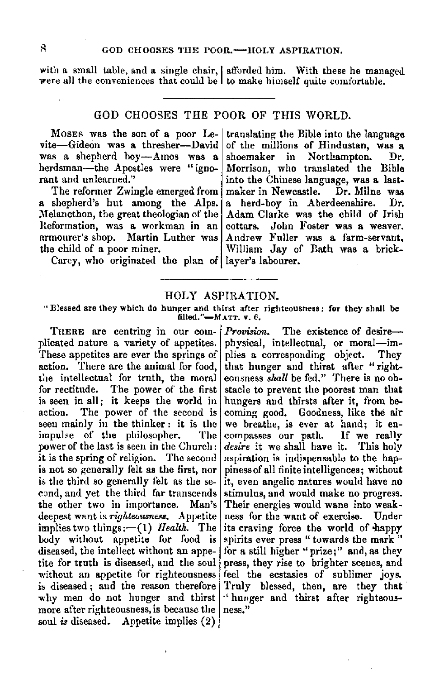with a small table, and a single chair, I afforded him. With these he managed were all the conveniences that could be  $\vert$  to make himself quite comfortable.

# GOD CHOOSES THE POOR OF THIS WORLD.

MOSES was the son of a poor Levite-Gideon was **a** thresher-David was a shepherd boy-Amos was a herdsman-the Apostles were "ignorant and unlearned."

The reformer Zwingle emerged from a shepherd's hut among the Alps. Melancthon, the great theologian of the Reformation, was a workman in an armourer's shop. Martin Luther was the child of a poor miner.

Carey, who originated the plan of layer's labourer.

translating the Bible into the language of the millions of Hindustan, was a shoemaker in Northampton. Dr. Morrison, who translated the Bible into the Chinese language, was a last-<br>maker in Newcastle. Dr. Milne was maker in Newcastle. a herd-boy in Aberdeenshire. Dr. Adam Clarke was the child of Irish cottars. John Foster was a weaver. John Foster was a weaver. Andrew Fuller was a farm-servant. William Jay of Bath was a brick-

### HOLY ASPIRATION.

"Blessed are they which do hunger and thirst after righteousness: for they shall be filled." $-MATT$ . v. 6.

THERE are centring in our com- *Provision*. The existence of desireplicated nature a variety of appetites. physical, intellectual, or moral—im-<br>These appetites are ever the springs of plies a corresponding object. They These appetites are ever the springs of action. There are the animal for food. the intellectual for truth, the moral for rectitude. The power of the first is seen in all; it keeps the world in hungers and thirsts after it, from be-<br>action. The power of the second is coming good. Goodness like the air action. The power of the second is coming good. Goodness, like the air seen mainly in the thinker: it is the we breathe, is ever at hand; it enimpulse of the philosopher. The compasses our path. If we really power of the last is seen in the Church: *desire* it we shall have it. This holy it is the spring of religion. The second aspiration is indispensable to the hapis not so generally felt as the first, nor piness of all finite intelligences; without is the third so generally felt as the se- it, even angelic natures would have no cond, and yet the third far transcends stimulus, and would make no progress. the other two in importance. Man's Their energies would wane into weakdeepest want is *righteousness*. Appetite ness for the want of exercise. Under implies two things:--(1) *Health.* The its craving force the world of happy<br>body without appetite for food is spirits ever press "towards the mark" diseased, the intellect without an appe- for a still higher" prize;" and, as they tite for truth is diseased, and the soul press, they rise to brighter scenes, and without an appetite for righteousness feel the ecstasies of sublimer joys. is diseased; and the reason therefore Truly blessed, then, are they that why men do not hunger and thirst " hunger and thirst after righteous-<br>more after righteousness is because the ness." more after righteousness, is because the soul *is* diseased. Appetite implies (2)

that hunger and thirst after "right-eousness shall be fed." There is no obstacle to prevent the poorest man that desire it we shall have it. This holy spirits ever press " towards the mark "

8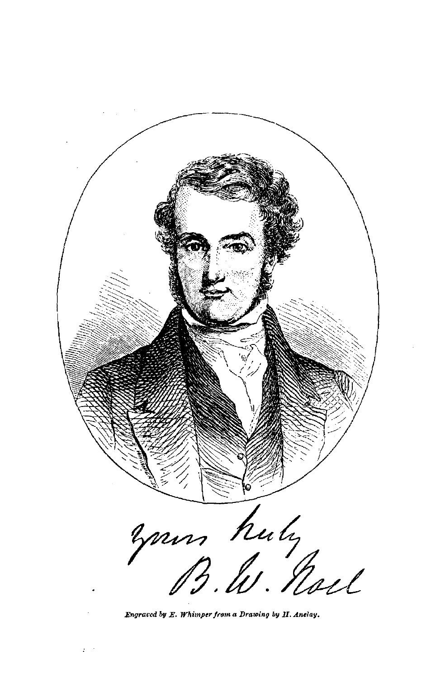

Engraced by E. Whimper from a Drawing by II. Anelay.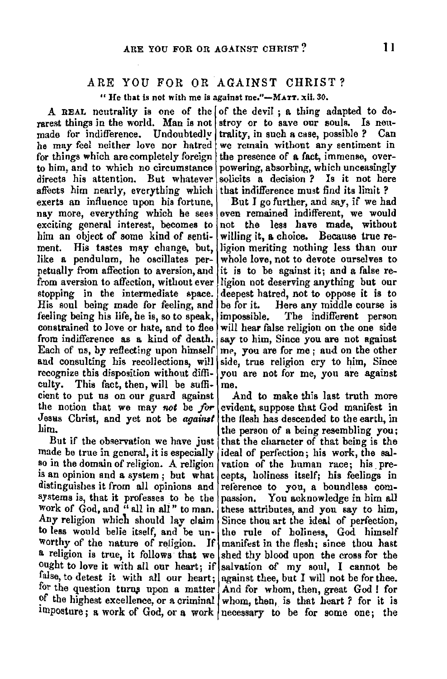# ARE YOU FOR OR AGAINST CHRIST?

" He that is not with me is against me." $-MATT$ , xii. 30,

rarest things in the world. Man is not stroy or to save our souls. Is neu-<br>made for indifference. Undoubtedly trality, in such a case, possible? Can he may feel neither love nor hatred we remain without any sentiment in for things which are completely foreign the presence of a fact, immense, overfor things which are completely foreign to him, and to which no circumstance to him, and to which no circumstance powering, absorbing, which unceasingly directs his attention. But whatever solicits a decision ? Is it not here affects him nearly, everything which that indifference must find its limit ?<br>exerts an influence upon his fortune. But I go further, and say, if we had exerts an influence upon his fortune, nav more, everything which he sees exciting general interest, becomes to him an object of some kind of senti- willing it, a choice. Because true re-<br>ment. His tastes may change, but, ligion meriting nothing less than our ment. His tastes may change, but, like a pendulum, he oscillates perpetually from affection to aversion, and<br>from aversion to affection, without ever stopping in the intermediate space. deepest hatred, not to oppose it is to<br>His soul being made for feeling and be for it. Here any middle course is His soul being made for feeling, and feeling being his life, he is, so to speak, impossible. The indifferent person constrained to love or hate, and to flee will hear false religion on the one side from indifference as a kind of death. say to him. Since you are not against Each of us, by reflecting upon himself me, you are for me; and on the other and consulting his recollections, will side, true religion cry to him, Since recognize this disposition without diffi- you are not for me, you are against cultv. This fact. then, will be sufficulty. This fact, then, will be sufficient to put us on our guard against And to make this last truth more the notion that we may *not* be *for* evident, suppose that God manifest in Jesas Christ, and yet not be *against* the flesh has descended to the earth, in

made be true in general, it is especially ideal of perfection; his work, the sal-<br>so in the domain of religion. A religion vation of the human race: his preis an opinion and a system; but what cepts, holiness itself; his feelings in distinguishes it from all opinions and reference to you, a boundless comsystems is, that it professes to be the passion. You acknowledge in him all Work of God, and "all in all" to man. these attributes, and you say to him, Any religion which should lay claim Since thou art the ideal of perfection, to less would belie itself, and be un- the rule of holiness, God himself worthy of the nature of religion. If manifest in the flesh; since thou hast a religion is true, it follows that we shed thy blood upon the cross for the ought to love it with all our heart; if salvation of my soul, I cannot be false, to detest it with all our heart; against thee, but I will not be for thee. for the question turns upon a matter And for whom, then, great God! for ?f the highest excellence, or a criminal whom, then, is that heart *?* for it is

A REAL neutrality is one of the of the devil; a thing adapted to de-<br>rest things in the world. Man is not stroy or to save our souls. Is neutrality, in such a case, possible ? Can we remain without any sentiment in solicits a decision? Is it not here that indifference must find its limit?

> even remained indifferent, we would<br>not the less have made, without whole love, not to devote ourselves to<br>it is to be against it; and a false religion not deserving anything but our say to him, Since you are not against side, true religion cry to him, Since

m.  $\vert$  the person of a being resembling you;<br>But if the observation we have just that the character of that being is the that the character of that being is the vation of the human race; his pre-If manifest in the flesh; since thou hast imposture; a work of God, or a work necessary to be for some one; the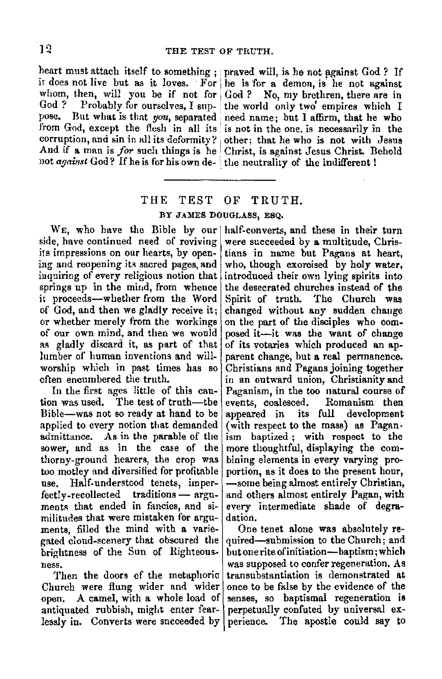heart must attach itself to something ; praved will, is he not against God? If not *against* God? If he is for his own de- the neutrality of the indifferent!

it does not live but as it loves. For he is for a demon, is he not against whom, then, will you be if not for God ? No, my brethren, there are in God ? Probably for ourselves I supply the world only two empires which I God ? Probably for ourselves, I sup- the world only two empires which I pose. But what is that *non*, separated used pame; but I affirm that he who But what is that *you*, separated need name; but I affirm, that he who from God, except the flesh in all its is not in the one, is necessarily in the corruption, and sin in all its deformity? other; that he who is not with Jesus And if a man is *for* such things is he Christ, is against Jesus Christ. Behold

# THE TEST OF TRUTH. BY JAMES DOUGLASS, ESQ.

side, have continued need of reviving were succeeded by a multitude, Chris-<br>its impressions on our hearts, by open- tians in name but Pagans at heart. ing and reopening its sacred pages, and who, though exorcised by holy water, inquiring of every religious notion that introduced their own lying spirits into inquiring of every religious notion that springs up in the mind, from whence springs up in the mind, from whence the desecrated churches instead of the it proceeds—whether from the Word Spirit of truth. The Church was of God, and then we gladly receive it; changed without any sudden change or whether merely from the workings on the part of the disciples who comof our own mind, and then we would posed it-it was the want of change as gladly discard it, as part of that of its votaries which produced an aplumber of human inventions and will- parent change, but a real permanence. worship which in past times has so Christians and Pagans joining together often encumbered the truth.

tion was used. The test of truth—the events, coalesced. Romanism then Bible-was not so ready at hand to be appeared in its full development applied to every notion tliat demanded (with respect to the mass) as Pagan. admittance. As in the parable of the ism baptized; with respect to the sower, and as in the case of the more thoughtful, displaying the comthorny-ground hearers, the crop was bining elements in every varying protoo motley and diversified for profitable portion, as it does to the present hour, use. Half-understood tenets, imper- $\frac{1}{2}$ -some being almost entirely Christian,  $\frac{1}{2}$  fectly-recollected traditions — argu- and others almost entirely Pagan, with  $fectly-recollected$  traditions  $-$  arguments that ended in fancies, and si- every intermediate shade of degramilitudes that were mistaken for argu- dation. ments, filled the mind with a varie- One tenet alone was absolutely regated cloud-scenery that obscured the quired-submission to the Church; and brightness of the Sun of Righteous- butoneriteofinitiation-baptism;which

Then the doors of the metaphoric Church were flung wider and wider once to be false by the evidence of the open. A camel, with a whole load of senses, so baptismal regeneration is antiquated rubbish, might enter fear- perpetually confuted by universal exlessly in. Converts were succeeded by perience. The apostle could say to

WE, who have the Bible by our half-converts, and these in their turn tians in name but Pagans at heart, Spirit of truth. The Church was in an outward union, Christianity and In the first ages little of this cau- $\begin{vmatrix}$  Paganism, in the too natural course of Paganism, in the too natural course of more thoughtful, displaying the com-

ness. was supposed to confer regeneration. As **was supposed to confer regeneration. As** Then the doors of the metaphoric transubstantiation is demonstrated at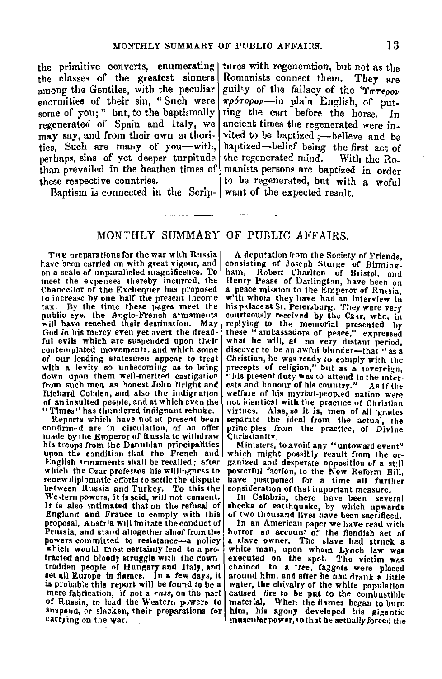the primitive converts, enumerating tures with regeneration, but not as the the classes of the greatest sinners among the Gentiles, with the peculiar enormities of their sin, "Such were some of you;" but, to the baptismally regenerated of Spain and Italy, we may say, and from their own anthorities, Such are many of you-with, perhaps, sins of yet deeper turpitude than prevailed in the heathen times of these respective countries.

Baptism is connected in the Scrip- want of the expected result.

Romanists connect them. Tbey are guilty of the fallacy of the 'ToTepoy' *11'pOTopo11-in* plain English, of putting the cart before the horse. In ancient times the regenerated were invited to be baptized ;- believe and be baptized-belief being the first act of<br>the regenerated mind. With the Rothe regenerated mind. manists persons are baptized in order to be regenerated, but with a woful

### MONTHLY SUMMARY OF PUBLIC AFFAIRS.

THE preparations for the war with Russia<br>have been carried on with great vigour, and have been carried on with great vigour, and<br>on a scale of unparalleled magnificence. To<br>meet the expenses thereby incurred, the Chancellor of the Exchequer has proposed<br>to increase by one half the present income tax. By the time these pages meet the public eye, the Anglo-French armaments will have reached their destination. May God in his mercy eveu yet avert the dreadful evils which are suspended upon their<br>contemplated movements, and which some contemplated movements, and which some<br>of our leading statesmen appear to treat<br>with a levity so unbecoming as to bring<br>down upon them well-merited castigation from such men as honest John Brighi and Richard Cobden, and also the indignation of an Insulted people, and at which even the "Times" has thundered indignant rebuke.

Reports which have not at present been **confirmt-'d are in circulation, of an offer**  made by the Emperor of Russia to withdraw his troops from the Danubian principalities upon the condition that the French and English armaments shall be recalled; after<br>which the Czar professes his willingness to renew diplomatic efforts to settle the dispute between Russia and Turkey. To this the Western powers, it is said, will not consent. It is also intimated that on the refusal of England and France to comply with this proposal. Austria will imitate the conduct of Prussia, and stand altogether aloof from the powers committed to resistance-a policy which would most certainly lead to a protracted and bloody struggle with the downtrodden people of Hungary and Italy, and<br>set all Europe in flames. In a few days, it is probable this report will be found to be a mere fabrication, if not a ruse, on the part of Russia, to lead the Western powers to suspend, or slacken, their preparations for carrying on the war.

A deputation from the Society of Friends, consistmg of Joseph Sturge of Birming-ham, Robert Charlton uf Bristol, and a peace mission to the Emperor of Russia, with whom they have had an interview in with whom they have had an interview in courteously received by the Czar, who, in replying to the memorial presented by these "ambassadors of peace," expressed what he will, at no very distant period, discover to be an awful blunder-that "as a Christian, he was ready to comply with the<br>precepts of religion," but as a sovereign, "his present duty was to attend to the inter-<br>ests and honour of his country." As if the<br>welfare of his myriad-peopled nation were not identical with the practice of Christian virtues. Alas, so it is, men of all grades separate the ideal from the actual, the principles from the practice, of Divine Christianity

**Ministers, to avoid any "untoward event"**<br>which might possibly result from the organized and desperate opposition of a still powerful faction, to the New Reform Bill, have postponed for a time all further<br>consideration of that important measure.

In Calabria, there have been several shocks of earthquake, by which upwards of two thousand lives have been sacrificed.

In an American paper we have read with horror an account of the fiendish act of<br>a «lave owner. The slave had struck a<br>white man, upon whom Lynch law was executed on the spot. The victim was<br>chained to a tree, faggots were placed chained to a tree, faggots were placed<br>around him, and after he had drank a little water, the chivalry of the white population caused fire to be put to the combustihle material, When the flames began to burn him, his agouy developed his gigantic muscular power,so that he actually forced the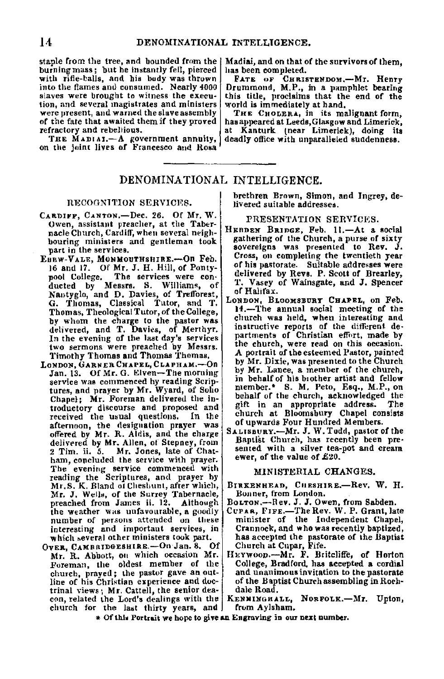staple from the tree, and bounded from the burning mass; but he instantly fell, pierced with rifle-balls, and bis body was thrown into the flames and consumed. Nearly 4000 slaves were brought to witness the execu• **tion, and several 1nagistrates and ministers were present, and warned the slave assembly**  of the fate that awaited them if they proved<br>refractory and rebellious.

THE MADIAI.-A government annuity, on the joint lives of Francesco and Rosa

# DENOMINATIONAL INTELLIGENCE.

#### RECOGNlTION SERVICE8.

- CARDIFF, CANTON,-Dec. 26. Of Mr. W. Owen, assistant preacher, at the Tabernacle Church, Cardiff, wheu several neigh• bouring ministers and gentleman took part in the services.
- EBBW-VALE, MONMOUTHSHIRE.-On Feb. 16 and 17. Of Mr. J. H. Hill, of Pontypool College. The services were con-<br>ducted by Messrs. S. Williams, of<br>Nantyglo, and D. Davies, of Trefforest,<br>G. Thomas, Classical Tutor, and T. Thomas, Theological Tutor, of the College,<br>by whom the charge to the pastor was by whom the charge to the pastor was delivered, and T. Davies, of Merthyr. In the evening of the last day's services two sermons were preached by Messrs. Timothy Thomas and Thomas Thomas.
- LONDON, GARNER CHAPEL, CLAPHAM.-On Jan. 13. Of Mr. G. Elven-The morning service was commenced by reading Scriptures, and prayer by Mr. Wyard, of Soho Chapel; Mr. Foreman delivered the introductory discourse and proposed and<br>received the usual questions. In the received the usual questions. afternoon, the designation prayer was offered by Mr. R. Aldis, and the charge delivered by **Mr.** Allen, of Stepney, from 2 Tim. ii. 5. Mr. Jones, late of Chatham, concluded the service with prayer. **The evening service commenced with**  reading the Scriptures, and prayer by Mr.S. K. Bland of Cheshunt, after which. Mr. J. Wells, of the Surrey Tabernacle, preached from James ii. 12. Although. the weather was unfavourable, a goodly CuPAR, FIFE.—The Rev. W. P. Grant, late mumber of persons attended on these minister of the Independent Chapel,
- OVER, CAMBRIDGESHIRE.-On Jan. 8. Of Church at Cupar, Fife.<br>Mr. R. Abbott, on which occasion Mr. HEYWOOD.--Mr. F. Britcliffe, of Horton trinal views; Mr. Cattell, the senior dea- dale Road.<br>con, related the Lord's dealings with the KENNINGHALL, NORFOLK.-Mr. Upton, church for the last thirty years, and from Aylsham.

Madiai, and on that of the survivors of them, has been completed.

FA.TE oF CHRISTBNDOM.-Mr. Henry Drummond, **M.P.,** in a pamphlet bearing this title, proclaims that the end of the world is immediately at hand,

THE CHOLERA, in its malignant form, has appeared at Leeds,Glasgow and Limerick, at Kanturk (near Limerick), doing its deadly office with unparalleled suudenness.

#### brethren Brown, Simon, and Ingrey, de• livered suitable addresses.

#### PRESENTATION SERVICES.

- HEBDEN BRIDGE, Feb. 11.-At a social gathering of the Church, a purse of sixty sovereigns was presented to Rev. J. Cross, on completing the twentieth year of his pastorate. Suitable addresses were delivered by Revs. P. Scott of Brearley, T. Vasey of Wainsgate, and J. Spencer of Halifax.
- LONDON, BLOOMSBURY CHAPEL, on Feb. 14.-The annual social meeting of the church was held, when interesting and instructive reports of the different de• partments of Christian effort, made by the church, were read on this occasion. **A** portrait of the esteemed Pastor, painted by Mr. Dixie, was presented to the Church by **Mr.** Lance, a member of the church, in behalf of his brother artist and fellow member.• S. **M.** Peto, Esq., M.P., on behalf of the church, acknowledged the<br>oift in an appropriate address. The gift in an appropriate address. church at Bloomsbury Chapel consists of upwards Four Hundred Members.
- SALISBURY.-Mr. J. W. Todd, pastor of the Baptist Church, has recently been pre· sented with a silver tea-pot and cream ewer, of the value of £20.

#### MINISTERIAL CHANGES.

- BIRKENHEAD, CHESHIRE.-Rev, W. H. Bonner, from London.
- BoLTON,-Rev. J. J. Owen, from Sabden.
- number of persons attended on these minister of the Independent Chapel, interesting and important services, in Crannock, and who was recently baptized, which several other ministers took part. has accepted the pastorate of the Baptist<br>Church at Cupar, Fife.
- Fri. R. R. Abbott, on which or which or which or which or which is a cordial entured.<br>Horton Foreman, the oldest member of the College, Bradford, has accepted a cordial<br>church, prayed: the pastor gave an out- and unanimous church, prayed; the pastor gave an out- and unanimous invitation to the pastorate line of his Christian experience and doc· of the Baptist Churehassembling inRoch-
	-
	- \* Of this Portrait we hope to give an Engraving in our next number.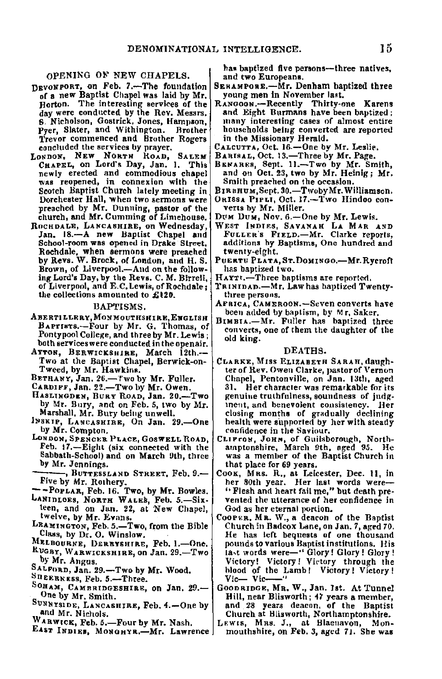#### OPENING OF NEW CHAPELS.

- osvoNPORT, on Feb. 7.-The foundation of a new Baptist Chapel was laid by Mr. Horton. The interesting services of the day were conducted by the Rev. Messrs, 6. Nicholson, Gostrick, Jones, Hampson,<br>Pver, Slater, and Withington. Brother Pyer, Slater, and Withington. 'l'revor commenced and Brother Rogers concluded the services by prayer.
- LONDON, NEW NORTH ROAD, SALEM<br>CHAPEL, on Lord's Day, Jan. 1. This newly erected and commodious chapel **was reopened, in connexion with the**  Scotch Baptist Church lately meeting in<br>Dorchester Hall, when two sermons were preached by Mr. Dunning, pastor of the church, and **Mr.** Cumming of Limehouse.
- RocHDALE, LANCASHIRE, on Wednesday, Jan. 18.-A new Baptist Chapel and School-room was opened in Drake Street, Rochdale, when sermons were preached by Revs. W. Brock, of London, and H. S. Brown, of Liverpool.-And on the following Lord's Day, by the Revs. C. **M.** Birrell, the collections amounted to **£120.**

#### BAPTISMS.

- **ABERTJLLERY,MONMOUTIISHIRE,EVGLISH**  BAPTINTS.-Four by Mr. G. Thomas, of Pontypool College, and three by **Mr.** Lewis; both services were conducted in the openair.
- AYTON, BERWICKSHIRE, March 12th,- Two at the Baptist Chapel, Berwick-on-Tweed, by Mr. Hawkins.
- BETHANY, Jan. 26.-Two by Mr. Fuller.
- CARDIFF, Jan. 22.-Two by Mr. Owen.
- HASLINGDEN, BURY ROAD, Jan. 20.-Two by Mr. Bury, and on Feb. 5, two by Mr. Marshall, Mr. Bury being unwell.
- 1Nsx1P, LANCASUIRE, On Jan. 29.-0ne by Mr. Compton.
- LONDON, SPENCER PLACE, GOSWELL ROAD, Feb. 17,-Eight (six connected with the Sabbath-School) and on March 9th, three by Mr. Jennings.<br>------, BUTTESSLAND STREET. Feb. 9.--
- by Mr. Jennings.<br>Five by Mr. Rothery.<br>Five by Mr. Rothery.<br>--POPLAR, Feb. 16. Two, by Mr. Bowles.<br>LANIDLOES, NORTH WALEB, Feb. 5.—Six-
- 
- teen, and on Jan. 22, at New Chapel, twelve, by Mr. Evans.
- LEAMINGTON, Feb. 5.-Two, from the Bible Class, by Dr. O. Winslow.
- MELBOURNE, DERBYSHIRE, Feb. 1.-One. RUGBY, WARWICKSHIRE, on Jan. 29.-Two
- by Mr. Angus.
- SALFORD, Jan. 29.-Two by Mr. Wood.
- SUEERNEss, Feb. 5.-Three.
- SOHAM, CAMBRIDGESHIRE, on Jan. 29.-0ne by Mr. Smith.
- Sunnysipe, Lancashine, Feb. 4.—One by<br>...<sup>and</sup> Mr. Nichols.
- WARWICK, Feb. 5.-Four by Mr. Nash.
- EAST INDIES, MONOHYR.-Mr. Lawrence

has baptized five persons-three natives, and two Europeans.

- SERAMPORE,-Mr. Denham bantized three young men in November last.<br>RANGOON,-Recently Thirty-one Karens
- and Eight Burmans have been baptized; many interesting cases of almost entire households being converted are reported in the Missionary Herald.
- CALCUTTA, Oct. 16.-0ne by Mr. Leslie. BARISAL, Oct. 13,-Three by Mr. Page.
- 
- BENARES, Sept. 11 .- Two by Mr. Smith, and on Oct. 23, two by Mr. Heinig; Mr. Smith preached on the occasion.
- BIRBHUM, Sept. 30.-Twoby Mr. Williamson.
- OarssA PIPLI, Oct. 17.-Two Hindoo con- verts by Mr. Miller.
- DUM DUM, Nov. 6.-One by Mr. Lewis.
- WEST INDIES, SAVANAH LA MAR AND FuLLER's FIELD,-Mr. Clarke reports, additions hy Baptisms, One hundred and twenty-eight.
- PUERTU PLATA, ST.DOMINGO.-Mr. Rycroft has baptized two.
- HAYTt.-Three baptisms are reported,
- of Liverpool, and E.C. Lewis, of Rochdale; TRINIDAD.—Mr, Law has baptized Twenty-<br>the collections amounted to £120.
	- AFRICA, CAMERoON.-Seven converts have
	- been added by baptism, by Mr, Saker.<br>BIMBIA.—Mr. Fuller has baptized three converts, one of chem the daughter of the old king.

#### DEATHS.

- CLARKE, M,ss ELIZABETH SARAR,daughter of Rev. Owen Clarke, pastor of Vernon Chapel, Pentonville, on **Jan.** 13th, aged 31, Her character was remarkable for its genuine truthfulness, soundness of judg-**1ne11t, and benevolent consistency. Her**  closing months of gradually declining health were supported by her with steady confidence in the Saviour.
- Ct1ProN, JOHN, of Guilsborougl1, North-amptonshire, March 9th, aged *95.* He was a member of the Baptist Church in was a member of the Baptist Church in that place for 69 years.
- CooK, Mas. R., at Leicester, Dec. II, in her 80th year. Her last words were-" Flesh and heart fail me," but death prevented the utterance of her confidence in God as her eternal portion.
- COOPER, MR. W., a deacon of the Baptist Church in Badcox Lane, on Jan. 7, aged 70. He has left bequests of one thousand pounds to various Baptist institutions. His Ja,t words were-" Glory! Glory! Glory ! Victory! Victory! Victory through the hlood of the Lamb! Victory! Victory! Vic- Vic-
- GooDRIDGE, Ma. W., Jan. Jst. At Tunnel Hill, near Blisworth; 47 years a member, and 28 years deacon, of the Baptist Church at Hisworth, Northamptonshire.
- LEWIS, MRS. J., at Blaeuavon, Monmouthshire, on Feb. 3, aged 71. She was